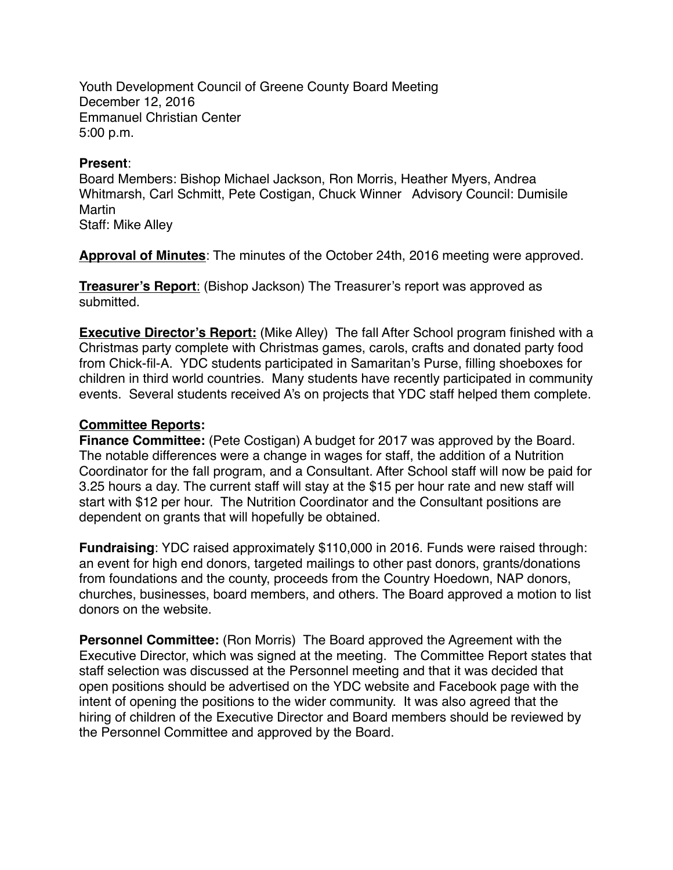Youth Development Council of Greene County Board Meeting December 12, 2016 Emmanuel Christian Center 5:00 p.m.

## **Present**:

Board Members: Bishop Michael Jackson, Ron Morris, Heather Myers, Andrea Whitmarsh, Carl Schmitt, Pete Costigan, Chuck Winner Advisory Council: Dumisile Martin

Staff: Mike Alley

**Approval of Minutes**: The minutes of the October 24th, 2016 meeting were approved.

**Treasurer's Report**: (Bishop Jackson) The Treasurer's report was approved as submitted.

**Executive Director's Report:** (Mike Alley) The fall After School program finished with a Christmas party complete with Christmas games, carols, crafts and donated party food from Chick-fil-A. YDC students participated in Samaritan's Purse, filling shoeboxes for children in third world countries. Many students have recently participated in community events. Several students received A's on projects that YDC staff helped them complete.

## **Committee Reports:**

**Finance Committee:** (Pete Costigan) A budget for 2017 was approved by the Board. The notable differences were a change in wages for staff, the addition of a Nutrition Coordinator for the fall program, and a Consultant. After School staff will now be paid for 3.25 hours a day. The current staff will stay at the \$15 per hour rate and new staff will start with \$12 per hour. The Nutrition Coordinator and the Consultant positions are dependent on grants that will hopefully be obtained.

**Fundraising**: YDC raised approximately \$110,000 in 2016. Funds were raised through: an event for high end donors, targeted mailings to other past donors, grants/donations from foundations and the county, proceeds from the Country Hoedown, NAP donors, churches, businesses, board members, and others. The Board approved a motion to list donors on the website.

**Personnel Committee:** (Ron Morris) The Board approved the Agreement with the Executive Director, which was signed at the meeting. The Committee Report states that staff selection was discussed at the Personnel meeting and that it was decided that open positions should be advertised on the YDC website and Facebook page with the intent of opening the positions to the wider community. It was also agreed that the hiring of children of the Executive Director and Board members should be reviewed by the Personnel Committee and approved by the Board.